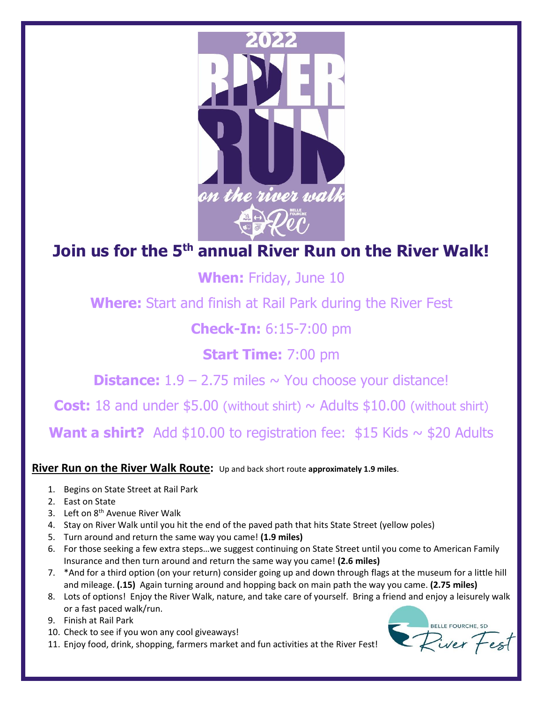

## **Join us for the 5<sup>th</sup> annual River Run on the River Walk!**

**When:** Friday, June 10

**Where:** Start and finish at Rail Park during the River Fest

## **Check-In:** 6:15-7:00 pm

## **Start Time:** 7:00 pm

**Distance:**  $1.9 - 2.75$  miles  $\sim$  You choose your distance!

**Cost:** 18 and under  $$5.00$  (without shirt)  $\sim$  Adults  $$10.00$  (without shirt)

**Want a shirt?** Add  $$10.00$  to registration fee:  $$15$  Kids  $\sim$  \$20 Adults

**River Run on the River Walk Route:** Up and back short route **approximately 1.9 miles**.

- 1. Begins on State Street at Rail Park
- 2. East on State
- 3. Left on 8<sup>th</sup> Avenue River Walk
- 4. Stay on River Walk until you hit the end of the paved path that hits State Street (yellow poles)
- 5. Turn around and return the same way you came! **(1.9 miles)**
- 6. For those seeking a few extra steps…we suggest continuing on State Street until you come to American Family Insurance and then turn around and return the same way you came! **(2.6 miles)**
- 7. \*And for a third option (on your return) consider going up and down through flags at the museum for a little hill and mileage. **(.15)** Again turning around and hopping back on main path the way you came. **(2.75 miles)**
- 8. Lots of options! Enjoy the River Walk, nature, and take care of yourself. Bring a friend and enjoy a leisurely walk or a fast paced walk/run.
- 9. Finish at Rail Park
- 10. Check to see if you won any cool giveaways!
- 11. Enjoy food, drink, shopping, farmers market and fun activities at the River Fest!